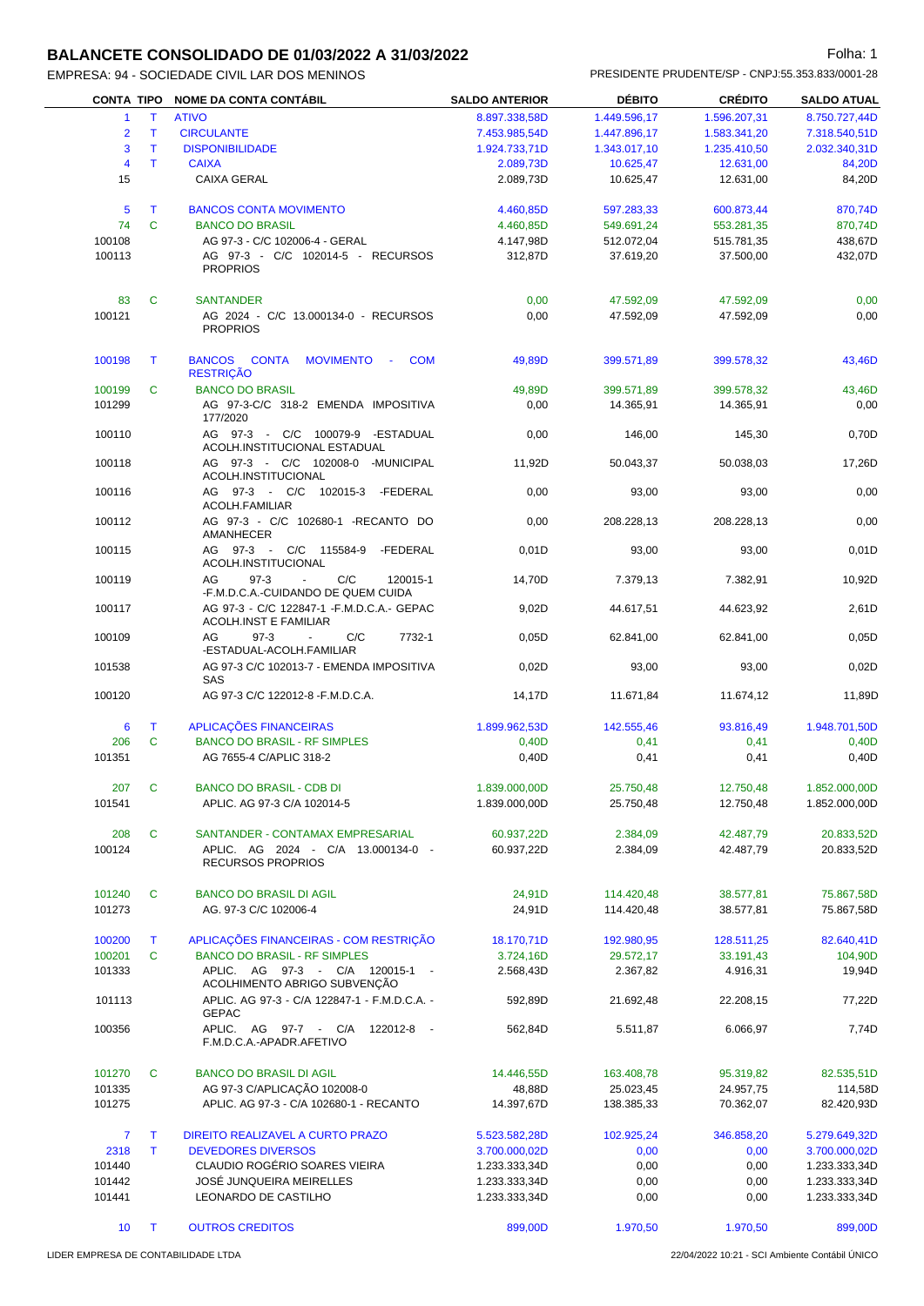# **BALANCETE CONSOLIDADO DE 01/03/2022 A 31/03/2022 Folha: 1** Folha: 1

| EMPRESA: 94 - SOCIEDADE CIVIL LAR DOS MENINOS |                       |               | PRESIDENTE PRUDENTE/SP - CNPJ:55.353.833/0001-28 |                    |
|-----------------------------------------------|-----------------------|---------------|--------------------------------------------------|--------------------|
| CONTA TIPO NOME DA CONTA CONTÁBIL             | <b>SALDO ANTERIOR</b> | <b>DEBITO</b> | <b>CRÉDITO</b>                                   | <b>SALDO ATUAL</b> |
| 1 T ATIVO                                     | 8.897.338.58D         | 1.449.596.17  | 1.596.207.31                                     | 8.750.727.44D      |
| 2 T CIRCULANTE                                | 7.453.985.54D         | 1.447.896.17  | 1.583.341.20                                     | 7.318.540.51D      |

| 2                       | T      | , , , , <b>, ,</b><br><b>CIRCULANTE</b>                                           | <u>U.UUI.UUU,UUU</u><br>7.453.985,54D | 1.770.000, 11<br>1.447.896,17 | 1.0005201,01<br>1.583.341,20 | 0.100.121.770<br>7.318.540,51D |
|-------------------------|--------|-----------------------------------------------------------------------------------|---------------------------------------|-------------------------------|------------------------------|--------------------------------|
| 3                       | T.     | <b>DISPONIBILIDADE</b>                                                            | 1.924.733,71D                         | 1.343.017,10                  | 1.235.410,50                 | 2.032.340,31D                  |
| $\overline{\mathbf{4}}$ | T.     | <b>CAIXA</b>                                                                      | 2.089,73D                             | 10.625,47                     | 12.631,00                    | 84,20D                         |
| 15                      |        | <b>CAIXA GERAL</b>                                                                | 2.089,73D                             | 10.625,47                     | 12.631,00                    | 84,20D                         |
| 5                       | T      | <b>BANCOS CONTA MOVIMENTO</b>                                                     | 4.460,85D                             | 597.283,33                    | 600.873,44                   | 870,74D                        |
| 74                      | C      | <b>BANCO DO BRASIL</b>                                                            | 4.460,85D                             | 549.691,24                    | 553.281,35                   | 870,74D                        |
| 100108                  |        | AG 97-3 - C/C 102006-4 - GERAL                                                    | 4.147,98D                             | 512.072,04                    | 515.781,35                   | 438,67D                        |
| 100113                  |        | AG 97-3 - C/C 102014-5 - RECURSOS                                                 | 312,87D                               | 37.619,20                     | 37.500,00                    | 432,07D                        |
|                         |        | <b>PROPRIOS</b>                                                                   |                                       |                               |                              |                                |
| 83                      | C      | <b>SANTANDER</b>                                                                  | 0,00                                  | 47.592,09                     | 47.592,09                    | 0,00                           |
| 100121                  |        | AG 2024 - C/C 13.000134-0 - RECURSOS<br><b>PROPRIOS</b>                           | 0,00                                  | 47.592,09                     | 47.592,09                    | 0,00                           |
| 100198                  | T      | BANCOS CONTA MOVIMENTO - COM                                                      | 49,89D                                | 399.571,89                    | 399.578,32                   | 43,46D                         |
| 100199                  | C      | <b>RESTRIÇÃO</b><br><b>BANCO DO BRASIL</b>                                        | 49,89D                                | 399.571,89                    | 399.578,32                   | 43,46D                         |
| 101299                  |        | AG 97-3-C/C 318-2 EMENDA IMPOSITIVA<br>177/2020                                   | 0,00                                  | 14.365,91                     | 14.365,91                    | 0,00                           |
| 100110                  |        | AG 97-3 - C/C 100079-9 -ESTADUAL<br>ACOLH.INSTITUCIONAL ESTADUAL                  | 0,00                                  | 146,00                        | 145,30                       | 0,70D                          |
| 100118                  |        | AG 97-3 - C/C 102008-0 -MUNICIPAL<br>ACOLH.INSTITUCIONAL                          | 11,92D                                | 50.043,37                     | 50.038.03                    | 17,26D                         |
| 100116                  |        | AG 97-3 - C/C 102015-3 -FEDERAL<br><b>ACOLH.FAMILIAR</b>                          | 0,00                                  | 93,00                         | 93,00                        | 0,00                           |
| 100112                  |        | AG 97-3 - C/C 102680-1 -RECANTO DO<br>AMANHECER                                   | 0,00                                  | 208.228,13                    | 208.228,13                   | 0,00                           |
| 100115                  |        | AG 97-3 - C/C 115584-9 -FEDERAL<br>ACOLH.INSTITUCIONAL                            | 0,01D                                 | 93,00                         | 93,00                        | 0,01D                          |
| 100119                  |        | AG<br>$97-3$<br>C/C<br>120015-1<br>$\omega$<br>-F.M.D.C.A.-CUIDANDO DE QUEM CUIDA | 14,70D                                | 7.379,13                      | 7.382,91                     | 10,92D                         |
| 100117                  |        | AG 97-3 - C/C 122847-1 - F.M.D.C.A.- GEPAC<br><b>ACOLH.INST E FAMILIAR</b>        | 9,02D                                 | 44.617,51                     | 44.623,92                    | 2,61D                          |
| 100109                  |        | $97-3$<br>$\sim$<br>C/C<br>7732-1<br>AG<br>-ESTADUAL-ACOLH.FAMILIAR               | 0,05D                                 | 62.841,00                     | 62.841,00                    | 0,05D                          |
| 101538                  |        | AG 97-3 C/C 102013-7 - EMENDA IMPOSITIVA<br>SAS                                   | 0,02D                                 | 93,00                         | 93,00                        | 0,02D                          |
| 100120                  |        | AG 97-3 C/C 122012-8 - F.M.D.C.A.                                                 | 14,17D                                | 11.671,84                     | 11.674,12                    | 11,89D                         |
| 6                       | T.     | APLICAÇÕES FINANCEIRAS                                                            | 1.899.962,53D                         | 142.555,46                    | 93.816,49                    | 1.948.701,50D                  |
| 206                     | C      | <b>BANCO DO BRASIL - RF SIMPLES</b>                                               | 0,40D                                 | 0,41                          | 0,41                         | 0,40D                          |
| 101351                  |        | AG 7655-4 C/APLIC 318-2                                                           | 0,40D                                 | 0,41                          | 0,41                         | 0,40D                          |
| 207                     | C      | <b>BANCO DO BRASIL - CDB DI</b>                                                   | 1.839.000,00D                         | 25.750,48                     | 12.750,48                    | 1.852.000,00D                  |
| 101541                  |        | APLIC. AG 97-3 C/A 102014-5                                                       | 1.839.000,00D                         | 25.750,48                     | 12.750,48                    | 1.852.000,00D                  |
| 208                     | C      | SANTANDER - CONTAMAX EMPRESARIAL                                                  | 60.937,22D                            | 2.384,09                      | 42.487,79                    | 20.833,52D                     |
| 100124                  |        | APLIC. AG 2024 - C/A 13.000134-0 -<br><b>RECURSOS PROPRIOS</b>                    | 60.937,22D                            | 2.384,09                      | 42.487,79                    | 20.833,52D                     |
| 101240                  | C      | <b>BANCO DO BRASIL DI AGIL</b>                                                    | 24,91D                                | 114.420,48                    | 38.577,81                    | 75.867,58D                     |
| 101273                  |        | AG. 97-3 C/C 102006-4                                                             | 24,91D                                | 114.420,48                    | 38.577,81                    | 75.867,58D                     |
|                         |        | APLICAÇÕES FINANCEIRAS - COM RESTRIÇÃO                                            |                                       |                               |                              |                                |
| 100200                  | T<br>C | <b>BANCO DO BRASIL - RF SIMPLES</b>                                               | 18.170,71D<br>3.724,16D               | 192.980,95                    | 128.511,25                   | 82.640,41D                     |
| 100201<br>101333        |        | APLIC. AG 97-3 - C/A 120015-1 -                                                   | 2.568,43D                             | 29.572,17<br>2.367,82         | 33.191,43<br>4.916,31        | 104,90D<br>19,94D              |
| 101113                  |        | ACOLHIMENTO ABRIGO SUBVENÇÃO<br>APLIC. AG 97-3 - C/A 122847-1 - F.M.D.C.A. -      | 592,89D                               | 21.692,48                     | 22.208,15                    | 77,22D                         |
| 100356                  |        | <b>GEPAC</b><br>APLIC. AG 97-7 - C/A<br>122012-8                                  | 562,84D                               | 5.511,87                      | 6.066,97                     | 7,74D                          |
|                         |        | F.M.D.C.A.-APADR.AFETIVO                                                          |                                       |                               |                              |                                |
| 101270                  | C      | <b>BANCO DO BRASIL DI AGIL</b>                                                    | 14.446,55D                            | 163.408,78                    | 95.319,82                    | 82.535,51D                     |
| 101335<br>101275        |        | AG 97-3 C/APLICAÇÃO 102008-0<br>APLIC. AG 97-3 - C/A 102680-1 - RECANTO           | 48,88D<br>14.397,67D                  | 25.023,45<br>138.385,33       | 24.957,75<br>70.362,07       | 114,58D<br>82.420,93D          |
| $\overline{7}$          | T.     | DIREITO REALIZAVEL A CURTO PRAZO                                                  | 5.523.582,28D                         | 102.925,24                    | 346.858,20                   | 5.279.649,32D                  |
| 2318                    | T.     | <b>DEVEDORES DIVERSOS</b>                                                         | 3.700.000,02D                         | 0,00                          | 0,00                         | 3.700.000,02D                  |
| 101440                  |        | CLAUDIO ROGÉRIO SOARES VIEIRA                                                     | 1.233.333,34D                         | 0,00                          | 0,00                         | 1.233.333,34D                  |
| 101442                  |        | JOSĖ JUNQUEIRA MEIRELLES                                                          | 1.233.333,34D                         | 0,00                          | 0,00                         | 1.233.333,34D                  |
| 101441                  |        | LEONARDO DE CASTILHO                                                              | 1.233.333,34D                         | 0,00                          | 0,00                         | 1.233.333,34D                  |
|                         |        |                                                                                   |                                       |                               |                              |                                |
| 10 <sup>°</sup>         | $\top$ | <b>OUTROS CREDITOS</b>                                                            | 899,00D                               | 1.970,50                      | 1.970,50                     | 899,00D                        |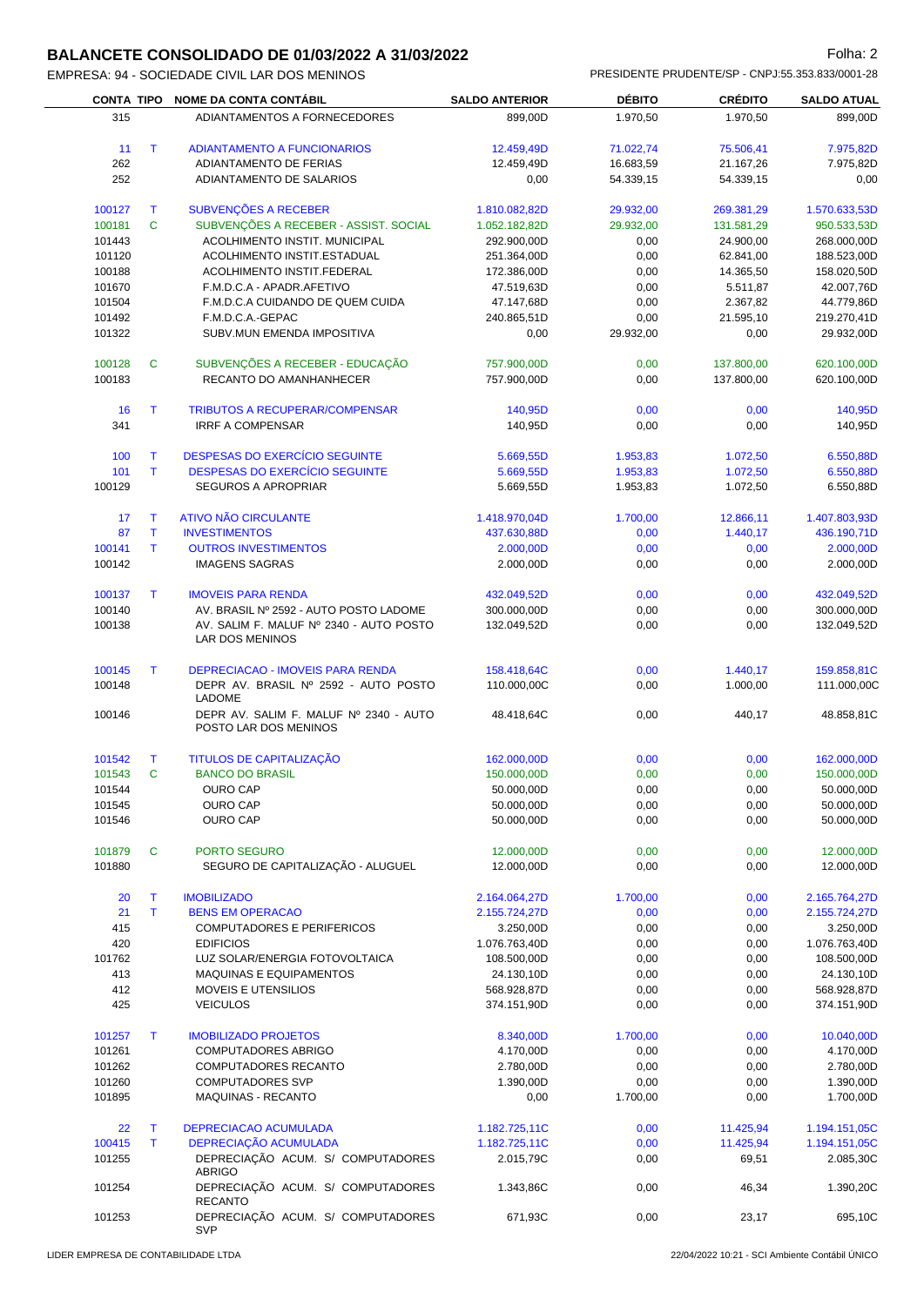# **BALANCETE CONSOLIDADO DE 01/03/2022 A 31/03/2022 Folha: 2** Folha: 2

|        |              | CONTA TIPO NOME DA CONTA CONTÁBIL                               | <b>SALDO ANTERIOR</b> | <b>DÉBITO</b> | <b>CRÉDITO</b> | <b>SALDO ATUAL</b>           |
|--------|--------------|-----------------------------------------------------------------|-----------------------|---------------|----------------|------------------------------|
| 315    |              | ADIANTAMENTOS A FORNECEDORES                                    | 899,00D               | 1.970,50      | 1.970,50       | 899,00D                      |
|        |              |                                                                 |                       |               |                |                              |
| 11     | $\mathsf{T}$ | <b>ADIANTAMENTO A FUNCIONARIOS</b>                              | 12.459,49D            | 71.022,74     | 75.506,41      | 7.975,82D                    |
| 262    |              | ADIANTAMENTO DE FERIAS                                          | 12.459,49D            | 16.683,59     | 21.167,26      | 7.975,82D                    |
| 252    |              | ADIANTAMENTO DE SALARIOS                                        | 0,00                  | 54.339,15     | 54.339,15      | 0,00                         |
| 100127 | T            | SUBVENÇÕES A RECEBER                                            | 1.810.082,82D         | 29.932,00     | 269.381,29     | 1.570.633,53D                |
| 100181 | $\mathbf{C}$ | SUBVENÇÕES A RECEBER - ASSIST. SOCIAL                           | 1.052.182,82D         | 29.932,00     | 131.581,29     | 950.533,53D                  |
| 101443 |              | ACOLHIMENTO INSTIT. MUNICIPAL                                   | 292.900,00D           | 0,00          | 24.900,00      | 268.000,00D                  |
| 101120 |              | ACOLHIMENTO INSTIT.ESTADUAL                                     | 251.364,00D           | 0,00          | 62.841,00      | 188.523,00D                  |
| 100188 |              | ACOLHIMENTO INSTIT.FEDERAL                                      | 172.386,00D           | 0,00          | 14.365,50      | 158.020,50D                  |
| 101670 |              | F.M.D.C.A - APADR.AFETIVO                                       | 47.519,63D            | 0,00          | 5.511,87       | 42.007,76D                   |
| 101504 |              | F.M.D.C.A CUIDANDO DE QUEM CUIDA                                | 47.147,68D            | 0,00          | 2.367,82       | 44.779,86D                   |
| 101492 |              | F.M.D.C.A.-GEPAC                                                | 240.865,51D           | 0,00          | 21.595,10      | 219.270,41D                  |
| 101322 |              | SUBV.MUN EMENDA IMPOSITIVA                                      | 0,00                  | 29.932,00     | 0,00           | 29.932,00D                   |
| 100128 | C            | SUBVENÇÕES A RECEBER - EDUCAÇÃO                                 | 757.900,00D           | 0,00          | 137.800,00     | 620.100,00D                  |
| 100183 |              | RECANTO DO AMANHANHECER                                         | 757.900,00D           | 0,00          | 137.800,00     | 620.100,00D                  |
| 16     | T            | <b>TRIBUTOS A RECUPERAR/COMPENSAR</b>                           | 140,95D               | 0,00          | 0,00           | 140,95D                      |
| 341    |              | <b>IRRF A COMPENSAR</b>                                         | 140,95D               | 0,00          | 0,00           | 140,95D                      |
|        |              |                                                                 |                       |               |                |                              |
| 100    | T            | <b>DESPESAS DO EXERCÍCIO SEGUINTE</b>                           | 5.669,55D             | 1.953,83      | 1.072,50       | 6.550,88D                    |
| 101    | T.           | <b>DESPESAS DO EXERCÍCIO SEGUINTE</b>                           | 5.669.55D             | 1.953,83      | 1.072,50       | 6.550,88D                    |
| 100129 |              | SEGUROS A APROPRIAR                                             | 5.669,55D             | 1.953,83      | 1.072,50       | 6.550,88D                    |
| 17     | T            | <b>ATIVO NÃO CIRCULANTE</b>                                     | 1.418.970,04D         | 1.700,00      | 12.866,11      | 1.407.803,93D                |
| 87     | Т            | <b>INVESTIMENTOS</b>                                            | 437.630,88D           | 0,00          | 1.440,17       | 436.190,71D                  |
| 100141 | T.           | <b>OUTROS INVESTIMENTOS</b>                                     | 2.000,00D             | 0,00          | 0,00           | 2.000,00D                    |
| 100142 |              | <b>IMAGENS SAGRAS</b>                                           | 2.000,00D             | 0,00          | 0,00           | 2.000,00D                    |
| 100137 | T.           | <b>IMOVEIS PARA RENDA</b>                                       | 432.049,52D           | 0,00          | 0,00           | 432.049,52D                  |
| 100140 |              | AV. BRASIL Nº 2592 - AUTO POSTO LADOME                          | 300.000,00D           | 0,00          | 0,00           | 300.000,00D                  |
| 100138 |              | AV. SALIM F. MALUF Nº 2340 - AUTO POSTO<br>LAR DOS MENINOS      | 132.049,52D           | 0,00          | 0,00           | 132.049,52D                  |
| 100145 | T.           | <b>DEPRECIACAO - IMOVEIS PARA RENDA</b>                         | 158.418,64C           | 0,00          | 1.440,17       | 159.858,81C                  |
| 100148 |              | DEPR AV. BRASIL Nº 2592 - AUTO POSTO<br><b>LADOME</b>           | 110.000,00C           | 0,00          | 1.000,00       | 111.000,00C                  |
| 100146 |              | DEPR AV. SALIM F. MALUF Nº 2340 - AUTO<br>POSTO LAR DOS MENINOS | 48.418,64C            | 0,00          | 440,17         | 48.858,81C                   |
| 101542 | Т            | TITULOS DE CAPITALIZAÇÃO                                        | 162.000,00D           | 0,00          | 0,00           | 162.000,00D                  |
| 101543 | C            | <b>BANCO DO BRASIL</b>                                          | 150.000,00D           | 0,00          | 0,00           | 150.000,00D                  |
| 101544 |              | <b>OURO CAP</b>                                                 | 50.000,00D            | 0,00          | 0,00           | 50.000,00D                   |
| 101545 |              | <b>OURO CAP</b>                                                 | 50.000,00D            | 0,00          | 0,00           | 50.000,00D                   |
| 101546 |              | <b>OURO CAP</b>                                                 | 50.000,00D            | 0,00          | 0,00           | 50.000,00D                   |
| 101879 | C            | PORTO SEGURO                                                    | 12.000,00D            | 0,00          | 0,00           | 12.000,00D                   |
| 101880 |              | SEGURO DE CAPITALIZAÇÃO - ALUGUEL                               | 12.000,00D            | 0,00          | 0,00           | 12.000,00D                   |
| 20     | Т            | <b>IMOBILIZADO</b>                                              | 2.164.064,27D         | 1.700,00      | 0,00           | 2.165.764,27D                |
| 21     | $\mathsf{T}$ | <b>BENS EM OPERACAO</b>                                         | 2.155.724,27D         | 0,00          | 0,00           | 2.155.724,27D                |
| 415    |              | COMPUTADORES E PERIFERICOS                                      | 3.250,00D             | 0,00          | 0,00           | 3.250,00D                    |
| 420    |              | <b>EDIFICIOS</b>                                                | 1.076.763,40D         | 0,00          | 0,00           | 1.076.763,40D                |
| 101762 |              | LUZ SOLAR/ENERGIA FOTOVOLTAICA                                  | 108.500,00D           | 0,00          | 0,00           | 108.500,00D                  |
| 413    |              | MAQUINAS E EQUIPAMENTOS                                         | 24.130,10D            | 0,00          | 0,00           | 24.130,10D                   |
| 412    |              | MOVEIS E UTENSILIOS                                             | 568.928,87D           | 0,00          | 0,00           | 568.928,87D                  |
| 425    |              | <b>VEICULOS</b>                                                 | 374.151,90D           | 0,00          | 0,00           | 374.151,90D                  |
| 101257 | Т            | <b>IMOBILIZADO PROJETOS</b>                                     | 8.340,00D             | 1.700,00      | 0,00           | 10.040,00D                   |
| 101261 |              | <b>COMPUTADORES ABRIGO</b>                                      | 4.170,00D             | 0,00          | 0,00           | 4.170,00D                    |
| 101262 |              | COMPUTADORES RECANTO                                            | 2.780,00D             | 0,00          | 0,00           | 2.780,00D                    |
| 101260 |              | <b>COMPUTADORES SVP</b>                                         | 1.390,00D             | 0,00          | 0,00           | 1.390,00D                    |
| 101895 |              | MAQUINAS - RECANTO                                              | 0,00                  | 1.700,00      | 0,00           | 1.700,00D                    |
| 22     | Т            |                                                                 |                       |               |                |                              |
|        |              | DEPRECIACAO ACUMULADA<br>DEDBECIACÃO ACUMULADA                  | 1.182.725,11C         | 0,00          | 11.425,94      | 1.194.151,05C<br>104.151.05C |

|        |                                              | .             | $\mathbf{v} \cdot \mathbf{v}$ | .         | .             |
|--------|----------------------------------------------|---------------|-------------------------------|-----------|---------------|
| 100415 | <b>DEPRECIAÇÃO ACUMULADA</b>                 | 1.182.725,11C | 0.00                          | 11.425.94 | 1.194.151,05C |
| 101255 | DEPRECIAÇÃO ACUM. S/ COMPUTADORES<br>ABRIGO  | 2.015.79C     | 0.00                          | 69.51     | 2.085.30C     |
| 101254 | DEPRECIAÇÃO ACUM. S/ COMPUTADORES<br>RECANTO | 1.343.86C     | 0.00                          | 46.34     | 1.390.20C     |
| 101253 | DEPRECIAÇÃO ACUM. S/ COMPUTADORES<br>SVP     | 671.93C       | 0.00                          | 23.17     | 695.10C       |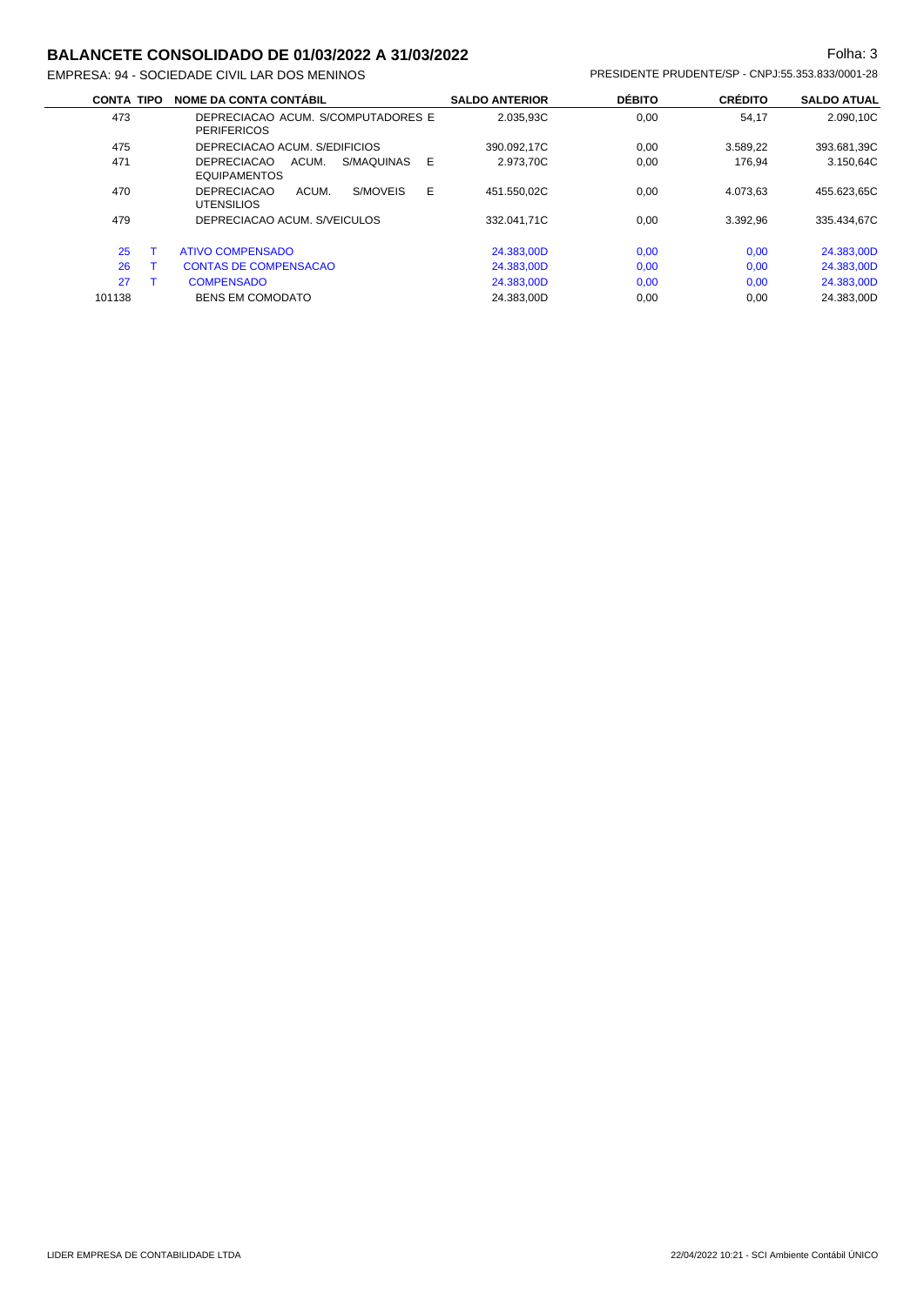## **BALANCETE CONSOLIDADO DE 01/03/2022 A 31/03/2022 Folha: 3** Folha: 3

EMPRESA: 94 - SOCIEDADE CIVIL LAR DOS MENINOS PRESIDENTE PRUDENTE/SP - CNPJ:55.353.833/0001-28

| <b>CONTA TIPO</b> | <b>NOME DA CONTA CONTÁBIL</b>                                         | <b>SALDO ANTERIOR</b> | <b>DÉBITO</b> | <b>CRÉDITO</b> | <b>SALDO ATUAL</b> |
|-------------------|-----------------------------------------------------------------------|-----------------------|---------------|----------------|--------------------|
| 473               | DEPRECIACAO ACUM. S/COMPUTADORES E<br><b>PERIFERICOS</b>              | 2.035.93C             | 0,00          | 54,17          | 2.090.10C          |
| 475               | DEPRECIACAO ACUM. S/EDIFICIOS                                         | 390.092.17C           | 0,00          | 3.589.22       | 393.681,39C        |
| 471               | <b>DEPRECIACAO</b><br>ACUM.<br>S/MAQUINAS<br>E<br><b>EQUIPAMENTOS</b> | 2.973.70C             | 0,00          | 176.94         | 3.150.64C          |
| 470               | E<br><b>DEPRECIACAO</b><br>ACUM.<br>S/MOVEIS<br><b>UTENSILIOS</b>     | 451.550.02C           | 0.00          | 4.073.63       | 455.623.65C        |
| 479               | DEPRECIACAO ACUM. S/VEICULOS                                          | 332.041.71C           | 0.00          | 3.392.96       | 335.434.67C        |
| 25                | ATIVO COMPENSADO                                                      | 24.383,00D            | 0,00          | 0,00           | 24.383,00D         |
| 26                | <b>CONTAS DE COMPENSACAO</b>                                          | 24.383,00D            | 0,00          | 0,00           | 24.383,00D         |
| 27                | <b>COMPENSADO</b>                                                     | 24.383.00D            | 0,00          | 0,00           | 24.383,00D         |
| 101138            | <b>BENS EM COMODATO</b>                                               | 24.383.00D            | 0.00          | 0.00           | 24.383.00D         |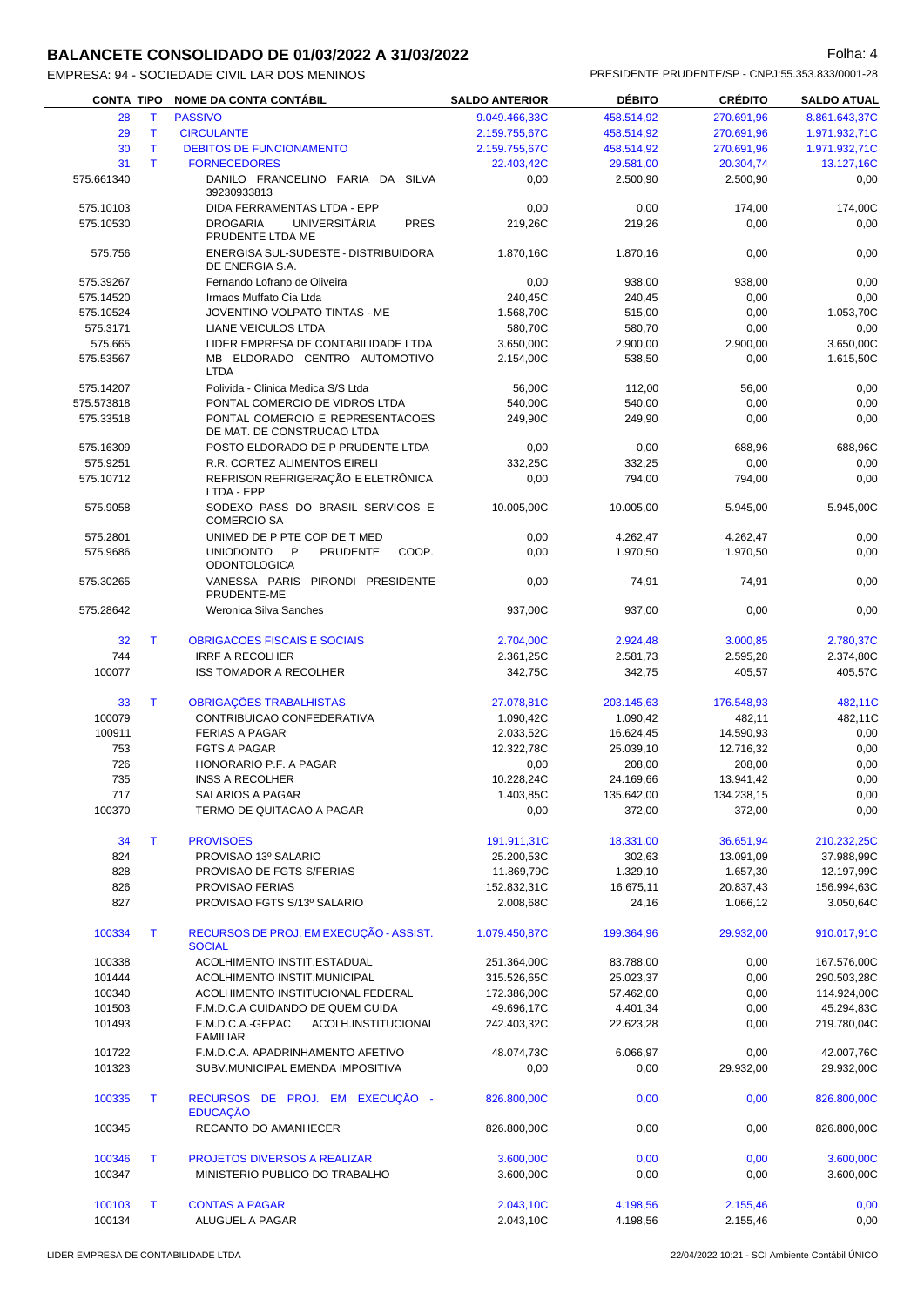# **BALANCETE CONSOLIDADO DE 01/03/2022 A 31/03/2022 Folha: 4** Folha: 4

EMPRESA: 94 - SOCIEDADE CIVIL LAR DOS MENINOS PRESIDENTE PRUDENTE/SP - CNPJ:55.353.833/0001-28

|            |              | CONTA TIPO NOME DA CONTA CONTÁBIL                                   | <b>SALDO ANTERIOR</b>  | <b>DÉBITO</b> | <b>CRÉDITO</b> | <b>SALDO ATUAL</b> |
|------------|--------------|---------------------------------------------------------------------|------------------------|---------------|----------------|--------------------|
| 28         | T.           | <b>PASSIVO</b>                                                      | 9.049.466,33C          | 458.514,92    | 270.691,96     | 8.861.643,37C      |
| 29         | $\mathsf{T}$ | <b>CIRCULANTE</b>                                                   | 2.159.755,67C          | 458.514,92    | 270.691,96     | 1.971.932,71C      |
| 30         | T            | <b>DEBITOS DE FUNCIONAMENTO</b>                                     | 2.159.755,67C          | 458.514,92    | 270.691,96     | 1.971.932,71C      |
| 31         | T.           | <b>FORNECEDORES</b>                                                 | 22.403,42C             | 29.581,00     | 20.304,74      | 13.127,16C         |
| 575.661340 |              | DANILO FRANCELINO FARIA DA SILVA<br>39230933813                     | 0,00                   | 2.500,90      | 2.500,90       | 0,00               |
| 575.10103  |              | DIDA FERRAMENTAS LTDA - EPP                                         | 0,00                   | 0,00          | 174,00         | 174,00C            |
| 575.10530  |              | PRES<br><b>DROGARIA</b><br><b>UNIVERSITÁRIA</b>                     | 219,26C                | 219,26        | 0,00           | 0,00               |
|            |              | PRUDENTE LTDA ME                                                    |                        |               |                |                    |
| 575.756    |              | ENERGISA SUL-SUDESTE - DISTRIBUIDORA<br>DE ENERGIA S.A.             | 1.870.16C              | 1.870,16      | 0,00           | 0,00               |
| 575.39267  |              | Fernando Lofrano de Oliveira                                        | 0,00                   | 938,00        | 938,00         | 0,00               |
| 575.14520  |              | Irmaos Muffato Cia Ltda                                             | 240,45C                | 240,45        | 0,00           | 0,00               |
| 575.10524  |              | JOVENTINO VOLPATO TINTAS - ME                                       | 1.568,70C              | 515,00        | 0,00           | 1.053,70C          |
| 575.3171   |              | <b>LIANE VEICULOS LTDA</b>                                          | 580,70C                | 580,70        | 0,00           | 0,00               |
| 575.665    |              | LIDER EMPRESA DE CONTABILIDADE LTDA                                 | 3.650,00C              | 2.900,00      | 2.900,00       | 3.650,00C          |
| 575.53567  |              | MB ELDORADO CENTRO AUTOMOTIVO<br><b>LTDA</b>                        | 2.154,00C              | 538,50        | 0,00           | 1.615,50C          |
| 575.14207  |              | Polivida - Clinica Medica S/S Ltda                                  | 56,00C                 | 112,00        | 56,00          | 0,00               |
| 575.573818 |              | PONTAL COMERCIO DE VIDROS LTDA                                      | 540,00C                | 540,00        | 0,00           | 0,00               |
| 575.33518  |              | PONTAL COMERCIO E REPRESENTACOES                                    | 249,90C                | 249,90        | 0,00           | 0,00               |
|            |              | DE MAT. DE CONSTRUCAO LTDA                                          |                        |               |                |                    |
| 575.16309  |              | POSTO ELDORADO DE P PRUDENTE LTDA                                   | 0,00                   | 0,00          | 688,96         | 688,96C            |
| 575.9251   |              | R.R. CORTEZ ALIMENTOS EIRELI                                        | 332,25C                | 332,25        | 0,00           | 0,00               |
| 575.10712  |              | REFRISON REFRIGERAÇÃO E ELETRÔNICA<br>LTDA - EPP                    | 0,00                   | 794,00        | 794,00         | 0,00               |
| 575.9058   |              | SODEXO PASS DO BRASIL SERVICOS E                                    | 10.005.00C             | 10.005.00     | 5.945,00       | 5.945,00C          |
|            |              | <b>COMERCIO SA</b>                                                  |                        |               |                |                    |
| 575.2801   |              | UNIMED DE P PTE COP DE T MED<br>P <sub>1</sub>                      | 0,00                   | 4.262,47      | 4.262,47       | 0,00               |
| 575.9686   |              | <b>UNIODONTO</b><br><b>PRUDENTE</b><br>COOP.<br><b>ODONTOLOGICA</b> | 0,00                   | 1.970,50      | 1.970,50       | 0,00               |
| 575.30265  |              | VANESSA PARIS PIRONDI PRESIDENTE<br>PRUDENTE-ME                     | 0,00                   | 74,91         | 74,91          | 0,00               |
| 575.28642  |              | Weronica Silva Sanches                                              | 937,00C                | 937,00        | 0,00           | 0,00               |
| 32         | T.           | <b>OBRIGACOES FISCAIS E SOCIAIS</b>                                 | 2.704,00C              | 2.924,48      | 3.000,85       | 2.780,37C          |
| 744        |              | <b>IRRF A RECOLHER</b>                                              | 2.361,25C              | 2.581,73      | 2.595,28       | 2.374,80C          |
| 100077     |              | <b>ISS TOMADOR A RECOLHER</b>                                       | 342,75C                | 342,75        | 405,57         | 405,57C            |
| 33         | T            | OBRIGAÇÕES TRABALHISTAS                                             | 27.078,81C             | 203.145,63    | 176.548,93     | 482,11C            |
| 100079     |              | CONTRIBUICAO CONFEDERATIVA                                          | 1.090,42C              | 1.090,42      | 482,11         | 482,11C            |
| 100911     |              | <b>FERIAS A PAGAR</b>                                               | 2.033,52C              | 16.624,45     | 14.590,93      | 0,00               |
| 753        |              | <b>FGTS A PAGAR</b>                                                 | 12.322,78C             | 25.039,10     | 12.716,32      | 0,00               |
| 726        |              | HONORARIO P.F. A PAGAR                                              | 0,00                   | 208,00        | 208,00         | 0,00               |
| 735        |              | <b>INSS A RECOLHER</b>                                              | 10.228,24C             | 24.169,66     | 13.941,42      | 0,00               |
| 717        |              | SALARIOS A PAGAR                                                    | 1.403,85C              | 135.642,00    | 134.238,15     | 0,00               |
| 100370     |              | TERMO DE QUITACAO A PAGAR                                           | 0,00                   | 372,00        | 372,00         | 0,00               |
| 34         | T            | <b>PROVISOES</b>                                                    | 191.911,31C            | 18.331,00     | 36.651,94      | 210.232,25C        |
| 824        |              | PROVISAO 13º SALARIO                                                | 25.200,53C             | 302,63        | 13.091,09      | 37.988,99C         |
| 828        |              | PROVISAO DE FGTS S/FERIAS                                           | 11.869,79C             | 1.329,10      | 1.657,30       | 12.197,99C         |
| 826        |              | PROVISAO FERIAS                                                     | 152.832,31C            | 16.675,11     | 20.837,43      | 156.994,63C        |
| 827        |              | PROVISAO FGTS S/13º SALARIO                                         | 2.008,68C              | 24,16         | 1.066,12       | 3.050,64C          |
|            |              |                                                                     |                        |               |                |                    |
| 100334     | T            | RECURSOS DE PROJ. EM EXECUÇÃO - ASSIST.<br><b>SOCIAL</b>            | 1.079.450,87C          | 199.364,96    | 29.932,00      | 910.017,91C        |
| 100338     |              | ACOLHIMENTO INSTIT.ESTADUAL                                         | 251.364,00C            | 83.788,00     | 0,00           | 167.576,00C        |
| 101444     |              | ACOLHIMENTO INSTIT.MUNICIPAL                                        | 315.526,65C            | 25.023,37     | 0,00           | 290.503,28C        |
| 100340     |              | ACOLHIMENTO INSTITUCIONAL FEDERAL                                   | 172.386,00C            | 57.462,00     | 0,00           | 114.924,00C        |
| 101503     |              | F.M.D.C.A CUIDANDO DE QUEM CUIDA                                    | 49.696,17C             | 4.401,34      | 0,00           | 45.294,83C         |
| 101493     |              | F.M.D.C.A.-GEPAC<br>ACOLH.INSTITUCIONAL<br><b>FAMILIAR</b>          | 242.403,32C            | 22.623,28     | 0,00           | 219.780,04C        |
| 101722     |              | F.M.D.C.A. APADRINHAMENTO AFETIVO                                   | 48.074,73C             | 6.066,97      | 0,00           | 42.007,76C         |
| 101323     |              | SUBV.MUNICIPAL EMENDA IMPOSITIVA                                    | 0,00                   | 0,00          | 29.932,00      | 29.932,00C         |
| 100335     | Τ            | RECURSOS DE PROJ. EM EXECUÇÃO -                                     | 826.800,00C            | 0,00          | 0,00           | 826.800,00C        |
| 100345     |              | <b>EDUCAÇÃO</b><br>RECANTO DO AMANHECER                             | 826.800,00C            | 0,00          | 0,00           | 826.800,00C        |
| 100346     | Τ            | <b>PROJETOS DIVERSOS A REALIZAR</b>                                 |                        | 0,00          |                | 3.600,00C          |
| 100347     |              | MINISTERIO PUBLICO DO TRABALHO                                      | 3.600,00C<br>3.600,00C | 0,00          | 0,00<br>0,00   | 3.600,00C          |
|            |              |                                                                     |                        |               |                |                    |
| 100103     | Τ            | <b>CONTAS A PAGAR</b>                                               | 2.043,10C              | 4.198,56      | 2.155,46       | 0.00               |
| 100134     |              | ALUGUEL A PAGAR                                                     | 2.043,10C              | 4.198,56      | 2.155,46       | 0,00               |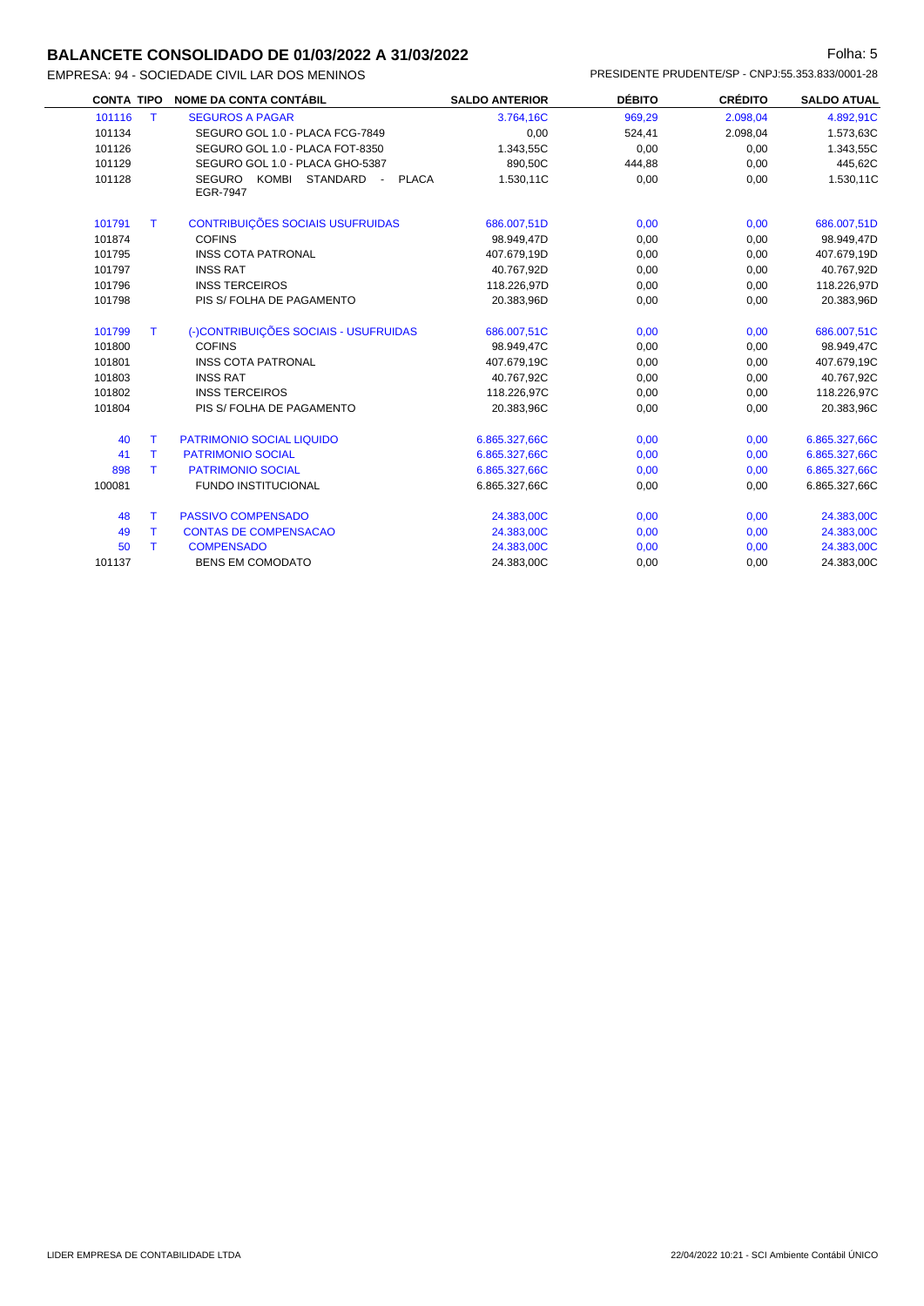#### **BALANCETE CONSOLIDADO DE 01/03/2022 A 31/03/2022 Folha: 5** Folha: 5

EMPRESA: 94 - SOCIEDADE CIVIL LAR DOS MENI

|        | ESA: 94 - SOCIEDADE CIVIL LAR DOS MENINOS I |                       | PRESIDENTE PRUDENTE/SP - CNPJ:55.353.833/0001-28 |                |                    |
|--------|---------------------------------------------|-----------------------|--------------------------------------------------|----------------|--------------------|
|        | CONTA TIPO NOME DA CONTA CONTÁBIL           | <b>SALDO ANTERIOR</b> | <b>DÉBITO</b>                                    | <b>CREDITO</b> | <b>SALDO ATUAL</b> |
| 101116 | <b>SEGUROS A PAGAR</b>                      | 3.764.16C             | 969.29                                           | 2.098.04       | 4.892.91C          |
| 101134 | SECHEO GOL 1 0 - PLACA ECC-7840             | n nn                  | 524 41                                           | 2 UQR UN       | 1.573.630          |

| 101116 | т | <b>SEGUROS A PAGAR</b>                                                   | 3.764,16C     | 969,29 | 2.098,04 | 4.892,91C     |
|--------|---|--------------------------------------------------------------------------|---------------|--------|----------|---------------|
| 101134 |   | SEGURO GOL 1.0 - PLACA FCG-7849                                          | 0,00          | 524,41 | 2.098,04 | 1.573,63C     |
| 101126 |   | SEGURO GOL 1.0 - PLACA FOT-8350                                          | 1.343,55C     | 0,00   | 0,00     | 1.343,55C     |
| 101129 |   | SEGURO GOL 1.0 - PLACA GHO-5387                                          | 890,50C       | 444,88 | 0,00     | 445,62C       |
| 101128 |   | KOMBI<br>STANDARD<br>SEGURO<br><b>PLACA</b><br>$\sim$<br><b>EGR-7947</b> | 1.530,11C     | 0,00   | 0,00     | 1.530,11C     |
| 101791 | т | <b>CONTRIBUIÇÕES SOCIAIS USUFRUIDAS</b>                                  | 686.007,51D   | 0,00   | 0,00     | 686.007,51D   |
| 101874 |   | <b>COFINS</b>                                                            | 98.949,47D    | 0,00   | 0,00     | 98.949,47D    |
| 101795 |   | <b>INSS COTA PATRONAL</b>                                                | 407.679,19D   | 0,00   | 0,00     | 407.679,19D   |
| 101797 |   | <b>INSS RAT</b>                                                          | 40.767,92D    | 0,00   | 0,00     | 40.767,92D    |
| 101796 |   | <b>INSS TERCEIROS</b>                                                    | 118.226,97D   | 0,00   | 0,00     | 118.226,97D   |
| 101798 |   | PIS S/ FOLHA DE PAGAMENTO                                                | 20.383,96D    | 0,00   | 0,00     | 20.383,96D    |
| 101799 | Τ | (-)CONTRIBUIÇÕES SOCIAIS - USUFRUIDAS                                    | 686.007,51C   | 0,00   | 0,00     | 686.007,51C   |
| 101800 |   | <b>COFINS</b>                                                            | 98.949,47C    | 0,00   | 0,00     | 98.949,47C    |
| 101801 |   | <b>INSS COTA PATRONAL</b>                                                | 407.679,19C   | 0,00   | 0,00     | 407.679,19C   |
| 101803 |   | <b>INSS RAT</b>                                                          | 40.767,92C    | 0,00   | 0,00     | 40.767,92C    |
| 101802 |   | <b>INSS TERCEIROS</b>                                                    | 118.226,97C   | 0,00   | 0,00     | 118.226,97C   |
| 101804 |   | PIS S/ FOLHA DE PAGAMENTO                                                | 20.383,96C    | 0,00   | 0,00     | 20.383,96C    |
| 40     | т | <b>PATRIMONIO SOCIAL LIQUIDO</b>                                         | 6.865.327,66C | 0,00   | 0,00     | 6.865.327,66C |
| 41     | т | <b>PATRIMONIO SOCIAL</b>                                                 | 6.865.327,66C | 0,00   | 0,00     | 6.865.327,66C |
| 898    | т | <b>PATRIMONIO SOCIAL</b>                                                 | 6.865.327,66C | 0,00   | 0,00     | 6.865.327,66C |
| 100081 |   | FUNDO INSTITUCIONAL                                                      | 6.865.327,66C | 0,00   | 0,00     | 6.865.327,66C |
| 48     | T | <b>PASSIVO COMPENSADO</b>                                                | 24.383,00C    | 0,00   | 0,00     | 24.383,00C    |
| 49     | T | <b>CONTAS DE COMPENSACAO</b>                                             | 24.383,00C    | 0,00   | 0,00     | 24.383,00C    |
| 50     | т | <b>COMPENSADO</b>                                                        | 24.383,00C    | 0,00   | 0,00     | 24.383,00C    |
| 101137 |   | <b>BENS EM COMODATO</b>                                                  | 24.383,00C    | 0,00   | 0,00     | 24.383,00C    |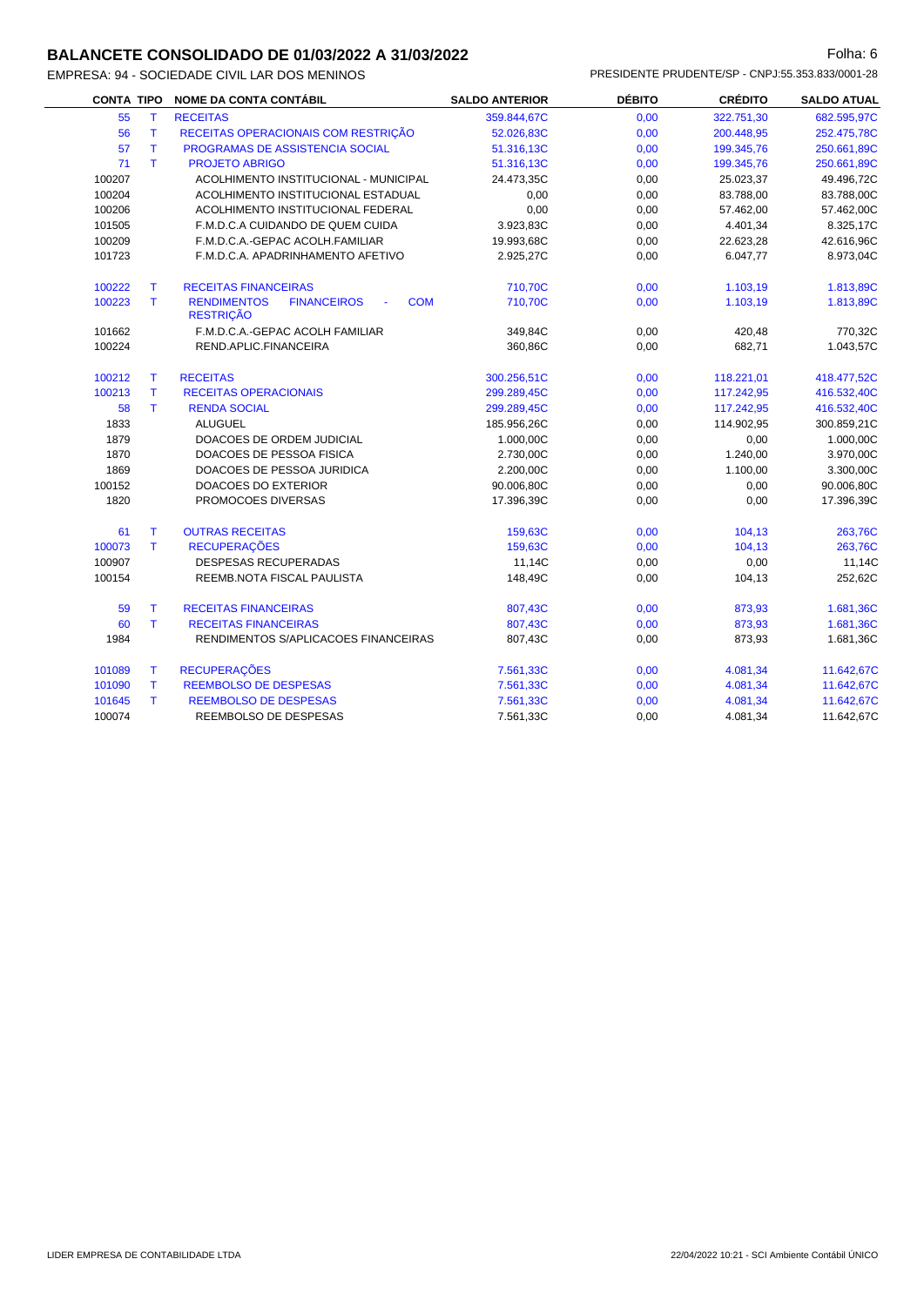# **BALANCETE CONSOLIDADO DE 01/03/2022 A 31/03/2022 Folha: 6** Folha: 6

EMPRESA: 94 - SOCIEDADE CIVIL LAR DOS MENINOS PRESIDENTE PRUDENTE/SP - CNPJ:55.353.833/0001-28

| <b>CONTA TIPO</b> |    | <b>NOME DA CONTA CONTÁBIL</b>                                              | <b>SALDO ANTERIOR</b> | <b>DÉBITO</b> | <b>CRÉDITO</b> | <b>SALDO ATUAL</b> |
|-------------------|----|----------------------------------------------------------------------------|-----------------------|---------------|----------------|--------------------|
| 55                | T. | <b>RECEITAS</b>                                                            | 359.844,67C           | 0,00          | 322.751,30     | 682.595,97C        |
| 56                | T  | RECEITAS OPERACIONAIS COM RESTRIÇÃO                                        | 52.026,83C            | 0,00          | 200.448,95     | 252.475,78C        |
| 57                | T. | PROGRAMAS DE ASSISTENCIA SOCIAL                                            | 51.316,13C            | 0,00          | 199.345,76     | 250.661,89C        |
| 71                | T. | <b>PROJETO ABRIGO</b>                                                      | 51.316,13C            | 0,00          | 199.345,76     | 250.661,89C        |
| 100207            |    | ACOLHIMENTO INSTITUCIONAL - MUNICIPAL                                      | 24.473,35C            | 0,00          | 25.023,37      | 49.496,72C         |
| 100204            |    | ACOLHIMENTO INSTITUCIONAL ESTADUAL                                         | 0,00                  | 0,00          | 83.788,00      | 83.788,00C         |
| 100206            |    | ACOLHIMENTO INSTITUCIONAL FEDERAL                                          | 0,00                  | 0,00          | 57.462,00      | 57.462,00C         |
| 101505            |    | F.M.D.C.A CUIDANDO DE QUEM CUIDA                                           | 3.923,83C             | 0,00          | 4.401,34       | 8.325,17C          |
| 100209            |    | F.M.D.C.A.-GEPAC ACOLH.FAMILIAR                                            | 19.993,68C            | 0,00          | 22.623,28      | 42.616,96C         |
| 101723            |    | F.M.D.C.A. APADRINHAMENTO AFETIVO                                          | 2.925,27C             | 0,00          | 6.047,77       | 8.973,04C          |
| 100222            | т  | <b>RECEITAS FINANCEIRAS</b>                                                | 710,70C               | 0,00          | 1.103,19       | 1.813,89C          |
| 100223            | T. | <b>RENDIMENTOS</b><br><b>FINANCEIROS</b><br><b>COM</b><br><b>RESTRIÇÃO</b> | 710,70C               | 0,00          | 1.103,19       | 1.813,89C          |
| 101662            |    | F.M.D.C.A.-GEPAC ACOLH FAMILIAR                                            | 349,84C               | 0,00          | 420,48         | 770,32C            |
| 100224            |    | REND.APLIC.FINANCEIRA                                                      | 360,86C               | 0,00          | 682,71         | 1.043,57C          |
| 100212            | T  | <b>RECEITAS</b>                                                            | 300.256,51C           | 0,00          | 118.221,01     | 418.477,52C        |
| 100213            | T. | <b>RECEITAS OPERACIONAIS</b>                                               | 299.289,45C           | 0,00          | 117.242,95     | 416.532,40C        |
| 58                | T. | <b>RENDA SOCIAL</b>                                                        | 299.289,45C           | 0,00          | 117.242,95     | 416.532,40C        |
| 1833              |    | <b>ALUGUEL</b>                                                             | 185.956,26C           | 0,00          | 114.902,95     | 300.859,21C        |
| 1879              |    | DOACOES DE ORDEM JUDICIAL                                                  | 1.000,00C             | 0,00          | 0,00           | 1.000,00C          |
| 1870              |    | DOACOES DE PESSOA FISICA                                                   | 2.730,00C             | 0,00          | 1.240,00       | 3.970,00C          |
| 1869              |    | DOACOES DE PESSOA JURIDICA                                                 | 2.200,00C             | 0,00          | 1.100,00       | 3.300,00C          |
| 100152            |    | <b>DOACOES DO EXTERIOR</b>                                                 | 90.006,80C            | 0,00          | 0,00           | 90.006,80C         |
| 1820              |    | PROMOCOES DIVERSAS                                                         | 17.396,39C            | 0,00          | 0,00           | 17.396,39C         |
| 61                | T. | <b>OUTRAS RECEITAS</b>                                                     | 159,63C               | 0,00          | 104,13         | 263,76C            |
| 100073            | T. | <b>RECUPERAÇÕES</b>                                                        | 159,63C               | 0,00          | 104,13         | 263,76C            |
| 100907            |    | <b>DESPESAS RECUPERADAS</b>                                                | 11,14C                | 0,00          | 0,00           | 11,14C             |
| 100154            |    | REEMB.NOTA FISCAL PAULISTA                                                 | 148,49C               | 0,00          | 104,13         | 252,62C            |
| 59                | T. | <b>RECEITAS FINANCEIRAS</b>                                                | 807,43C               | 0,00          | 873,93         | 1.681,36C          |
| 60                | T. | <b>RECEITAS FINANCEIRAS</b>                                                | 807,43C               | 0,00          | 873,93         | 1.681,36C          |
| 1984              |    | RENDIMENTOS S/APLICACOES FINANCEIRAS                                       | 807,43C               | 0,00          | 873,93         | 1.681,36C          |
| 101089            | T. | <b>RECUPERAÇÕES</b>                                                        | 7.561,33C             | 0,00          | 4.081,34       | 11.642,67C         |
| 101090            | T. | <b>REEMBOLSO DE DESPESAS</b>                                               | 7.561,33C             | 0,00          | 4.081,34       | 11.642,67C         |
| 101645            | T. | <b>REEMBOLSO DE DESPESAS</b>                                               | 7.561,33C             | 0,00          | 4.081,34       | 11.642,67C         |
| 100074            |    | REEMBOLSO DE DESPESAS                                                      | 7.561,33C             | 0,00          | 4.081,34       | 11.642,67C         |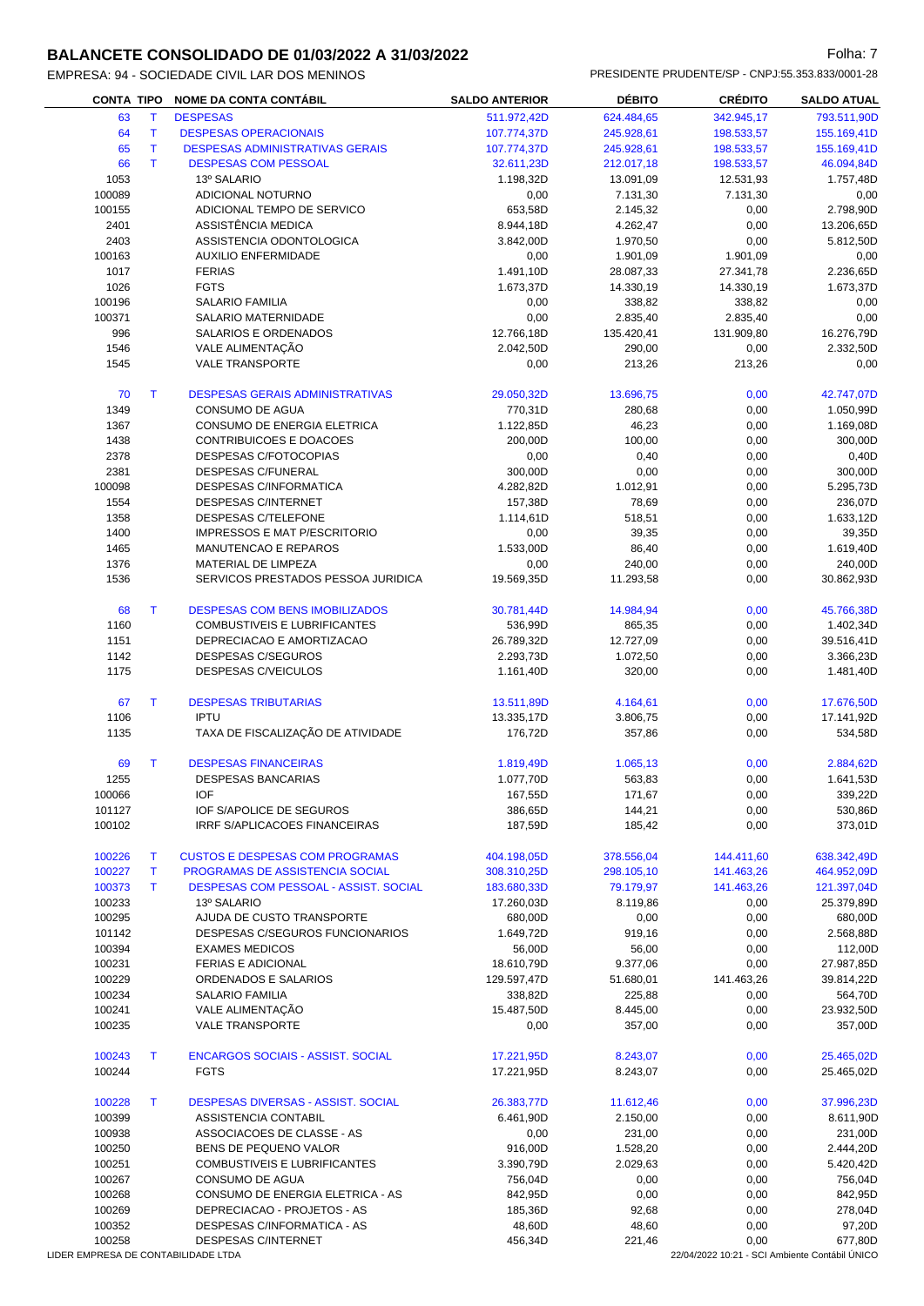#### **BALANCETE CONSOLIDADO DE 01/03/2022 A 31/03/2022 Folha: 7** Folha: 7

| <b>DALANGETE OUNOCHDADO DE 01/03/2022 A 31/03/2022</b> |                       |                                                  |                | <b>VIII.</b>       |
|--------------------------------------------------------|-----------------------|--------------------------------------------------|----------------|--------------------|
| EMPRESA: 94 - SOCIEDADE CIVIL LAR DOS MENINOS          |                       | PRESIDENTE PRUDENTE/SP - CNPJ:55.353.833/0001-28 |                |                    |
| CONTA TIPO NOME DA CONTA CONTABIL                      | <b>SALDO ANTERIOR</b> | <b>DÉBITO</b>                                    | <b>CREDITO</b> | <b>SALDO ATUAL</b> |

| <b>CONTA TIPO</b>                   |              | <b>NOME DA CONTA CONTÁBIL</b>             | <b>SALDO ANTERIOR</b> | <b>DÉBITO</b> | <b>CRÉDITO</b> | <b>SALDO ATUAL</b>                             |
|-------------------------------------|--------------|-------------------------------------------|-----------------------|---------------|----------------|------------------------------------------------|
| 63                                  | T.           | <b>DESPESAS</b>                           | 511.972,42D           | 624.484,65    | 342.945,17     | 793.511,90D                                    |
| 64                                  | $\mathsf{T}$ | <b>DESPESAS OPERACIONAIS</b>              | 107.774,37D           | 245.928,61    | 198.533,57     | 155.169,41D                                    |
| 65                                  | T            | <b>DESPESAS ADMINISTRATIVAS GERAIS</b>    | 107.774,37D           | 245.928,61    | 198.533,57     | 155.169,41D                                    |
| 66                                  | T.           | <b>DESPESAS COM PESSOAL</b>               | 32.611,23D            | 212.017,18    | 198.533,57     | 46.094,84D                                     |
| 1053                                |              | 13º SALARIO                               | 1.198,32D             | 13.091,09     | 12.531,93      | 1.757,48D                                      |
| 100089                              |              | ADICIONAL NOTURNO                         | 0,00                  | 7.131,30      | 7.131,30       | 0,00                                           |
| 100155                              |              | ADICIONAL TEMPO DE SERVICO                | 653,58D               | 2.145,32      | 0,00           | 2.798,90D                                      |
| 2401                                |              | ASSISTÊNCIA MEDICA                        | 8.944,18D             | 4.262,47      | 0,00           | 13.206,65D                                     |
| 2403                                |              | ASSISTENCIA ODONTOLOGICA                  | 3.842,00D             | 1.970,50      | 0,00           | 5.812,50D                                      |
| 100163                              |              | <b>AUXILIO ENFERMIDADE</b>                | 0,00                  | 1.901,09      | 1.901,09       | 0,00                                           |
| 1017                                |              | <b>FERIAS</b>                             | 1.491,10D             | 28.087,33     | 27.341,78      | 2.236,65D                                      |
| 1026                                |              | <b>FGTS</b>                               | 1.673,37D             | 14.330,19     | 14.330,19      | 1.673,37D                                      |
| 100196                              |              | <b>SALARIO FAMILIA</b>                    | 0,00                  | 338,82        | 338,82         | 0,00                                           |
| 100371                              |              | SALARIO MATERNIDADE                       |                       |               |                |                                                |
|                                     |              |                                           | 0,00                  | 2.835,40      | 2.835,40       | 0,00                                           |
| 996                                 |              | SALARIOS E ORDENADOS                      | 12.766,18D            | 135.420,41    | 131.909,80     | 16.276,79D                                     |
| 1546                                |              | VALE ALIMENTAÇÃO                          | 2.042,50D             | 290,00        | 0,00           | 2.332,50D                                      |
| 1545                                |              | <b>VALE TRANSPORTE</b>                    | 0,00                  | 213,26        | 213,26         | 0,00                                           |
|                                     |              |                                           |                       |               |                |                                                |
| 70                                  | T            | <b>DESPESAS GERAIS ADMINISTRATIVAS</b>    | 29.050,32D            | 13.696,75     | 0,00           | 42.747,07D                                     |
| 1349                                |              | CONSUMO DE AGUA                           | 770,31D               | 280,68        | 0,00           | 1.050,99D                                      |
| 1367                                |              | CONSUMO DE ENERGIA ELETRICA               | 1.122,85D             | 46,23         | 0,00           | 1.169,08D                                      |
| 1438                                |              | CONTRIBUICOES E DOACOES                   | 200,00D               | 100,00        | 0,00           | 300,00D                                        |
| 2378                                |              | <b>DESPESAS C/FOTOCOPIAS</b>              | 0,00                  | 0,40          | 0,00           | 0,40D                                          |
| 2381                                |              | DESPESAS C/FUNERAL                        | 300,00D               | 0,00          | 0,00           | 300,00D                                        |
| 100098                              |              | DESPESAS C/INFORMATICA                    | 4.282,82D             | 1.012,91      | 0,00           | 5.295,73D                                      |
| 1554                                |              | <b>DESPESAS C/INTERNET</b>                | 157,38D               | 78,69         | 0,00           | 236,07D                                        |
| 1358                                |              | DESPESAS C/TELEFONE                       | 1.114,61D             | 518,51        | 0,00           | 1.633,12D                                      |
| 1400                                |              | <b>IMPRESSOS E MAT P/ESCRITORIO</b>       | 0,00                  | 39,35         | 0,00           | 39,35D                                         |
| 1465                                |              | MANUTENCAO E REPAROS                      | 1.533,00D             | 86,40         | 0,00           | 1.619,40D                                      |
| 1376                                |              | MATERIAL DE LIMPEZA                       | 0,00                  | 240,00        | 0,00           | 240,00D                                        |
| 1536                                |              | SERVICOS PRESTADOS PESSOA JURIDICA        | 19.569,35D            | 11.293,58     | 0,00           | 30.862,93D                                     |
|                                     |              |                                           |                       |               |                |                                                |
| 68                                  | $\top$       | <b>DESPESAS COM BENS IMOBILIZADOS</b>     | 30.781,44D            | 14.984,94     | 0,00           | 45.766,38D                                     |
| 1160                                |              | COMBUSTIVEIS E LUBRIFICANTES              | 536,99D               | 865,35        | 0,00           | 1.402,34D                                      |
|                                     |              |                                           |                       |               |                |                                                |
| 1151                                |              | DEPRECIACAO E AMORTIZACAO                 | 26.789,32D            | 12.727,09     | 0,00           | 39.516,41D                                     |
| 1142                                |              | DESPESAS C/SEGUROS                        | 2.293,73D             | 1.072,50      | 0,00           | 3.366,23D                                      |
| 1175                                |              | DESPESAS C/VEICULOS                       | 1.161,40D             | 320,00        | 0,00           | 1.481,40D                                      |
|                                     |              |                                           |                       |               |                |                                                |
| 67                                  | T.           | <b>DESPESAS TRIBUTARIAS</b>               | 13.511,89D            | 4.164,61      | 0,00           | 17.676,50D                                     |
| 1106                                |              | <b>IPTU</b>                               | 13.335,17D            | 3.806,75      | 0,00           | 17.141,92D                                     |
| 1135                                |              | TAXA DE FISCALIZAÇÃO DE ATIVIDADE         | 176,72D               | 357,86        | 0,00           | 534,58D                                        |
|                                     |              |                                           |                       |               |                |                                                |
| 69                                  | T            | <b>DESPESAS FINANCEIRAS</b>               | 1.819,49D             | 1.065,13      | 0,00           | 2.884,62D                                      |
| 1255                                |              | <b>DESPESAS BANCARIAS</b>                 | 1.077,70D             | 563,83        | 0,00           | 1.641,53D                                      |
| 100066                              |              | <b>IOF</b>                                | 167,55D               | 171,67        | 0,00           | 339,22D                                        |
| 101127                              |              | <b>IOF S/APOLICE DE SEGUROS</b>           | 386,65D               | 144,21        | 0,00           | 530,86D                                        |
| 100102                              |              | IRRF S/APLICACOES FINANCEIRAS             | 187,59D               | 185,42        | 0,00           | 373,01D                                        |
|                                     |              |                                           |                       |               |                |                                                |
| 100226                              | т            | <b>CUSTOS E DESPESAS COM PROGRAMAS</b>    | 404.198,05D           | 378.556,04    | 144.411,60     | 638.342,49D                                    |
| 100227                              | т            | PROGRAMAS DE ASSISTENCIA SOCIAL           | 308.310,25D           | 298.105,10    | 141.463,26     | 464.952,09D                                    |
| 100373                              | T            | DESPESAS COM PESSOAL - ASSIST. SOCIAL     | 183.680,33D           | 79.179,97     | 141.463,26     | 121.397,04D                                    |
| 100233                              |              | 13º SALARIO                               | 17.260,03D            | 8.119,86      | 0,00           | 25.379,89D                                     |
| 100295                              |              | AJUDA DE CUSTO TRANSPORTE                 | 680,00D               | 0,00          | 0,00           | 680,00D                                        |
| 101142                              |              | DESPESAS C/SEGUROS FUNCIONARIOS           | 1.649,72D             | 919,16        | 0,00           | 2.568,88D                                      |
| 100394                              |              | <b>EXAMES MEDICOS</b>                     | 56,00D                | 56,00         | 0,00           | 112,00D                                        |
|                                     |              |                                           |                       |               |                | 27.987,85D                                     |
| 100231                              |              | <b>FERIAS E ADICIONAL</b>                 | 18.610,79D            | 9.377,06      | 0,00           |                                                |
| 100229                              |              | ORDENADOS E SALARIOS                      | 129.597,47D           | 51.680,01     | 141.463,26     | 39.814,22D                                     |
| 100234                              |              | <b>SALARIO FAMILIA</b>                    | 338,82D               | 225,88        | 0,00           | 564,70D                                        |
| 100241                              |              | VALE ALIMENTAÇÃO                          | 15.487,50D            | 8.445,00      | 0,00           | 23.932,50D                                     |
| 100235                              |              | <b>VALE TRANSPORTE</b>                    | 0,00                  | 357,00        | 0,00           | 357,00D                                        |
|                                     |              |                                           |                       |               |                |                                                |
| 100243                              | т            | <b>ENCARGOS SOCIAIS - ASSIST. SOCIAL</b>  | 17.221,95D            | 8.243,07      | 0,00           | 25.465,02D                                     |
| 100244                              |              | <b>FGTS</b>                               | 17.221,95D            | 8.243,07      | 0,00           | 25.465,02D                                     |
|                                     |              |                                           |                       |               |                |                                                |
| 100228                              | T            | <b>DESPESAS DIVERSAS - ASSIST. SOCIAL</b> | 26.383,77D            | 11.612,46     | 0,00           | 37.996,23D                                     |
| 100399                              |              | ASSISTENCIA CONTABIL                      | 6.461,90D             | 2.150,00      | 0,00           | 8.611,90D                                      |
| 100938                              |              | ASSOCIACOES DE CLASSE - AS                | 0,00                  | 231,00        | 0,00           | 231,00D                                        |
| 100250                              |              | BENS DE PEQUENO VALOR                     | 916,00D               | 1.528,20      | 0,00           | 2.444,20D                                      |
| 100251                              |              | COMBUSTIVEIS E LUBRIFICANTES              | 3.390,79D             | 2.029,63      | 0,00           | 5.420,42D                                      |
| 100267                              |              | CONSUMO DE AGUA                           | 756,04D               | 0,00          | 0,00           | 756,04D                                        |
| 100268                              |              | CONSUMO DE ENERGIA ELETRICA - AS          | 842,95D               | 0,00          | 0,00           | 842,95D                                        |
| 100269                              |              | DEPRECIACAO - PROJETOS - AS               | 185,36D               | 92,68         | 0,00           | 278,04D                                        |
| 100352                              |              | DESPESAS C/INFORMATICA - AS               | 48,60D                | 48,60         | 0,00           | 97,20D                                         |
| 100258                              |              | DESPESAS C/INTERNET                       | 456,34D               | 221,46        | 0,00           | 677,80D                                        |
| LIDER EMPRESA DE CONTABILIDADE LTDA |              |                                           |                       |               |                | 22/04/2022 10:21 - SCI Ambiente Contábil ÚNICO |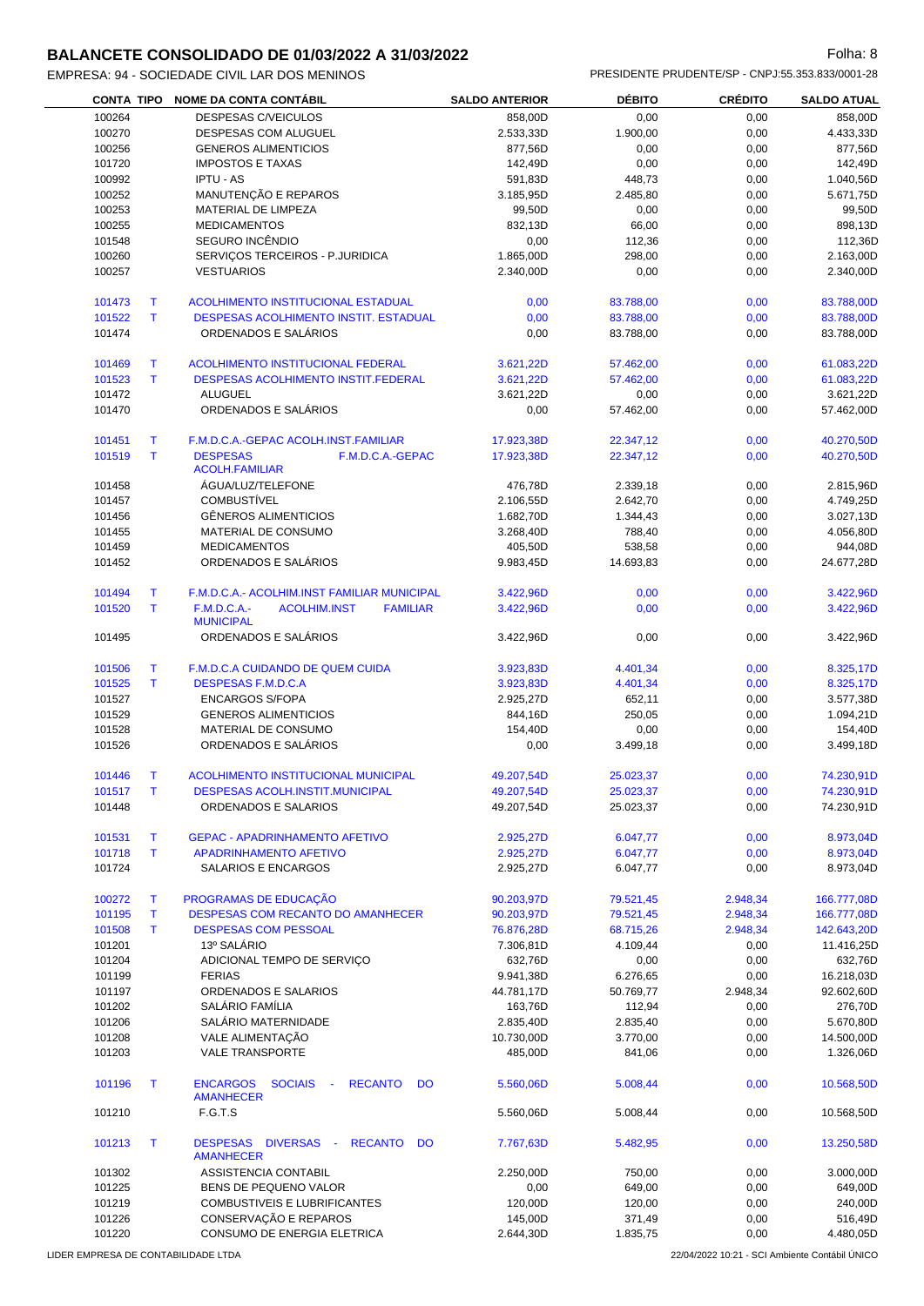# **BALANCETE CONSOLIDADO DE 01/03/2022 A 31/03/2022 Folha: 8** Folha: 8

| <b>DALANCETE CONSOLIDADO DE 01/03/2022 A 31/03/2022</b> | ullia.u                                          |
|---------------------------------------------------------|--------------------------------------------------|
| EMPRESA: 94 - SOCIEDADE CIVIL LAR DOS MENINOS           | PRESIDENTE PRUDENTE/SP - CNPJ:55.353.833/0001-28 |

| <b>CONTA TIPO</b> |              | <b>NOME DA CONTA CONTÁBIL</b>                                              | <b>SALDO ANTERIOR</b> | <b>DÉBITO</b> | <b>CRÉDITO</b> | <b>SALDO ATUAL</b> |
|-------------------|--------------|----------------------------------------------------------------------------|-----------------------|---------------|----------------|--------------------|
| 100264            |              | <b>DESPESAS C/VEICULOS</b>                                                 | 858,00D               | 0,00          | 0,00           | 858,00D            |
| 100270            |              | DESPESAS COM ALUGUEL                                                       | 2.533,33D             | 1.900,00      | 0,00           | 4.433,33D          |
| 100256            |              | <b>GENEROS ALIMENTICIOS</b>                                                | 877,56D               | 0,00          | 0,00           | 877,56D            |
| 101720            |              | <b>IMPOSTOS E TAXAS</b>                                                    | 142,49D               | 0,00          | 0,00           | 142,49D            |
| 100992            |              | <b>IPTU - AS</b>                                                           | 591,83D               | 448,73        | 0,00           | 1.040,56D          |
| 100252            |              | MANUTENÇÃO E REPAROS                                                       | 3.185,95D             | 2.485,80      | 0,00           | 5.671,75D          |
| 100253            |              | MATERIAL DE LIMPEZA                                                        | 99,50D                | 0,00          | 0,00           | 99,50D             |
| 100255            |              | <b>MEDICAMENTOS</b>                                                        | 832,13D               | 66,00         | 0,00           | 898,13D            |
| 101548            |              | SEGURO INCÊNDIO                                                            | 0,00                  | 112,36        | 0,00           | 112,36D            |
| 100260            |              | SERVIÇOS TERCEIROS - P.JURIDICA                                            | 1.865,00D             | 298,00        | 0,00           | 2.163,00D          |
| 100257            |              | <b>VESTUARIOS</b>                                                          | 2.340,00D             | 0,00          | 0,00           | 2.340,00D          |
|                   |              |                                                                            |                       |               |                |                    |
| 101473            | Т            | <b>ACOLHIMENTO INSTITUCIONAL ESTADUAL</b>                                  | 0,00                  | 83.788,00     | 0,00           | 83.788,00D         |
| 101522            | T.           | DESPESAS ACOLHIMENTO INSTIT. ESTADUAL                                      | 0,00                  | 83.788,00     | 0,00           | 83.788,00D         |
| 101474            |              | ORDENADOS E SALÁRIOS                                                       | 0,00                  | 83.788,00     | 0,00           | 83.788,00D         |
| 101469            | Т            | <b>ACOLHIMENTO INSTITUCIONAL FEDERAL</b>                                   | 3.621,22D             | 57.462,00     | 0,00           | 61.083,22D         |
| 101523            | T            | <b>DESPESAS ACOLHIMENTO INSTIT.FEDERAL</b>                                 | 3.621,22D             | 57.462,00     | 0,00           | 61.083,22D         |
| 101472            |              | <b>ALUGUEL</b>                                                             | 3.621,22D             | 0,00          | 0,00           | 3.621,22D          |
| 101470            |              | ORDENADOS E SALÁRIOS                                                       | 0,00                  | 57.462,00     | 0,00           | 57.462,00D         |
|                   |              |                                                                            |                       |               |                |                    |
| 101451            | Т            | F.M.D.C.A.-GEPAC ACOLH.INST.FAMILIAR                                       | 17.923,38D            | 22.347,12     | 0,00           | 40.270,50D         |
| 101519            | $\mathsf{T}$ | <b>DESPESAS</b><br>F.M.D.C.A.-GEPAC<br><b>ACOLH.FAMILIAR</b>               | 17.923.38D            | 22.347.12     | 0,00           | 40.270,50D         |
| 101458            |              | ÁGUA/LUZ/TELEFONE                                                          | 476,78D               | 2.339,18      | 0,00           | 2.815,96D          |
| 101457            |              | <b>COMBUSTIVEL</b>                                                         | 2.106,55D             | 2.642,70      | 0,00           | 4.749,25D          |
| 101456            |              | <b>GËNEROS ALIMENTICIOS</b>                                                | 1.682,70D             | 1.344,43      | 0,00           | 3.027,13D          |
| 101455            |              | MATERIAL DE CONSUMO                                                        | 3.268,40D             | 788,40        | 0,00           | 4.056,80D          |
| 101459            |              | <b>MEDICAMENTOS</b>                                                        | 405,50D               | 538,58        | 0,00           | 944,08D            |
| 101452            |              | ORDENADOS E SALÁRIOS                                                       | 9.983,45D             | 14.693,83     | 0,00           | 24.677,28D         |
|                   |              |                                                                            |                       |               |                |                    |
| 101494            | т            | F.M.D.C.A.- ACOLHIM.INST FAMILIAR MUNICIPAL                                | 3.422,96D             | 0,00          | 0,00           | 3.422,96D          |
| 101520            | $\mathsf{T}$ | <b>F.M.D.C.A.-</b><br><b>ACOLHIM.INST</b><br><b>FAMILIAR</b>               | 3.422,96D             | 0,00          | 0,00           | 3.422,96D          |
|                   |              | <b>MUNICIPAL</b>                                                           |                       |               |                |                    |
| 101495            |              | ORDENADOS E SALÁRIOS                                                       | 3.422,96D             | 0,00          | 0,00           | 3.422,96D          |
| 101506            | Τ            | F.M.D.C.A CUIDANDO DE QUEM CUIDA                                           | 3.923,83D             | 4.401,34      | 0,00           | 8.325,17D          |
| 101525            | T.           | <b>DESPESAS F.M.D.C.A</b>                                                  | 3.923,83D             | 4.401,34      | 0,00           | 8.325,17D          |
|                   |              | <b>ENCARGOS S/FOPA</b>                                                     |                       |               |                |                    |
| 101527            |              |                                                                            | 2.925,27D             | 652,11        | 0,00           | 3.577,38D          |
| 101529            |              | <b>GENEROS ALIMENTICIOS</b>                                                | 844,16D               | 250,05        | 0,00           | 1.094,21D          |
| 101528            |              | MATERIAL DE CONSUMO                                                        | 154,40D               | 0,00          | 0,00           | 154,40D            |
| 101526            |              | ORDENADOS E SALÁRIOS                                                       | 0,00                  | 3.499,18      | 0,00           | 3.499,18D          |
| 101446            | Т            | ACOLHIMENTO INSTITUCIONAL MUNICIPAL                                        | 49.207,54D            | 25.023,37     | 0,00           | 74.230,91D         |
| 101517            | Т            | <b>DESPESAS ACOLH.INSTIT.MUNICIPAL</b>                                     | 49.207,54D            | 25.023,37     | 0,00           | 74.230,91D         |
| 101448            |              | ORDENADOS E SALARIOS                                                       | 49.207,54D            | 25.023,37     | 0,00           | 74.230,91D         |
| 101531            | Т            | <b>GEPAC - APADRINHAMENTO AFETIVO</b>                                      | 2.925,27D             | 6.047,77      | 0,00           | 8.973,04D          |
| 101718            | T            | <b>APADRINHAMENTO AFETIVO</b>                                              | 2.925,27D             | 6.047,77      | 0,00           | 8.973,04D          |
| 101724            |              | SALARIOS E ENCARGOS                                                        | 2.925,27D             | 6.047,77      | 0,00           | 8.973,04D          |
|                   |              |                                                                            |                       |               |                |                    |
| 100272            | Т            | PROGRAMAS DE EDUCAÇÃO                                                      | 90.203,97D            | 79.521,45     | 2.948,34       | 166.777,08D        |
| 101195            | T            | DESPESAS COM RECANTO DO AMANHECER                                          | 90.203,97D            | 79.521,45     | 2.948,34       | 166.777,08D        |
| 101508            | T            | <b>DESPESAS COM PESSOAL</b>                                                | 76.876,28D            | 68.715,26     | 2.948,34       | 142.643,20D        |
| 101201            |              | 13º SALÁRIO                                                                | 7.306,81D             | 4.109,44      | 0,00           | 11.416,25D         |
| 101204            |              | ADICIONAL TEMPO DE SERVIÇO                                                 | 632,76D               | 0,00          | 0,00           | 632,76D            |
| 101199            |              | <b>FERIAS</b>                                                              | 9.941,38D             | 6.276,65      | 0,00           | 16.218,03D         |
| 101197            |              | ORDENADOS E SALARIOS                                                       | 44.781,17D            | 50.769,77     | 2.948,34       | 92.602,60D         |
| 101202            |              | SALÁRIO FAMÍLIA                                                            | 163,76D               | 112,94        | 0,00           | 276,70D            |
| 101206            |              | SALÁRIO MATERNIDADE                                                        | 2.835,40D             | 2.835,40      | 0,00           | 5.670,80D          |
| 101208            |              | VALE ALIMENTAÇÃO                                                           | 10.730,00D            | 3.770,00      | 0,00           | 14.500,00D         |
| 101203            |              | <b>VALE TRANSPORTE</b>                                                     | 485,00D               | 841,06        | 0,00           | 1.326,06D          |
| 101196            | Т            | <b>ENCARGOS</b><br><b>SOCIAIS</b><br><b>RECANTO</b><br><b>DO</b><br>$\sim$ | 5.560,06D             | 5.008,44      | 0,00           | 10.568,50D         |
| 101210            |              | <b>AMANHECER</b><br>F.G.T.S                                                | 5.560,06D             | 5.008,44      | 0,00           | 10.568,50D         |
|                   |              |                                                                            |                       |               |                |                    |
| 101213            | Т            | DESPESAS DIVERSAS<br><b>RECANTO</b><br>DO<br>$\sim$<br><b>AMANHECER</b>    | 7.767,63D             | 5.482,95      | 0,00           | 13.250,58D         |
| 101302            |              | ASSISTENCIA CONTABIL                                                       | 2.250,00D             | 750,00        | 0,00           | 3.000,00D          |
| 101225            |              | BENS DE PEQUENO VALOR                                                      | 0,00                  | 649,00        | 0,00           | 649,00D            |
| 101219            |              | COMBUSTIVEIS E LUBRIFICANTES                                               | 120,00D               | 120,00        | 0,00           | 240,00D            |
| 101226            |              | CONSERVAÇÃO E REPAROS                                                      | 145,00D               | 371,49        | 0,00           | 516,49D            |
| 101220            |              | CONSUMO DE ENERGIA ELETRICA                                                | 2.644,30D             | 1.835,75      | 0,00           | 4.480,05D          |
|                   |              |                                                                            |                       |               |                |                    |

LIDER EMPRESA DE CONTABILIDADE LTDA 22/04/2022 10:21 - SCI Ambiente Contábil ÚNICO